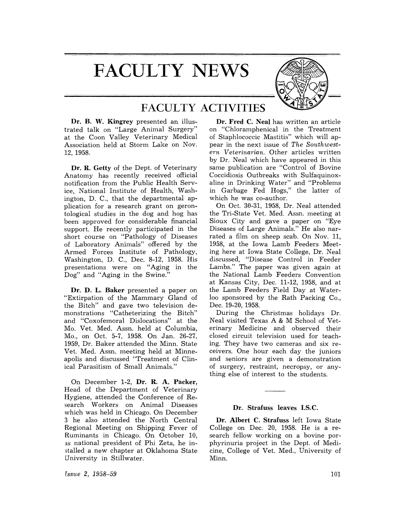# **FACULTY NEWS**



## FACULTY ACTIVITIES

Dr. B. W. Kingrey presented an illustrated talk on "Large Animal Surgery" at the Coon Valley Veterinary Medical Association held at Storm Lake on Nov. 12,1958.

Dr. R. Getty of the Dept. of Veterinary Anatomy has recently received official notification from the Public Health Service, National Institute of Health, Washington, D. C., that the departmental application for a research grant on gerontological studies in the dog and hog has been approved for considerable financial support. He recently participated in the short course on "Pathology of Diseases of Laboratory Animals" offered by the Armed Forces Institute of Pathology, Washington, D. C., Dec. 8-12, 1958. His presentations were on "Aging in the Dog" and "Aging in the Swine."

Dr. D. L. Baker presented a paper on "Extirpation of the Mammary Gland of the Bitch" and gave two television demonstrations "Catheterizing the Bitch" and "Coxofemoral Dislocations" at the Mo. Vet. Med. Assn. held at Columbia, Mo., on Oct. 5-7, 1958. On Jan. 26-27, 1959, Dr. Baker attended the Minn. State Vet. Med. Assn. meeting held at Minneapolis and discussed "Treatment of Clinical Parasitism of Small Animals."

On December 1-2, Dr. R. A. Packer, Head of the Department of Veterinary Hygiene, attended the Conference of Research Workers on Animal Diseases which was held in Chicago. On December 3 he also attended the North Central Regional Meeting on Shipping Fever of Ruminants in Chicago. On October 10, 3.S national president of Phi Zeta, he installed a new chapter at Oklahoma State University in Stillwater.

*[ssue* 2, 1958-59

Dr. Fred C. Neal has written an article on "Chloramphenical in the Treatment of Staphlococcic Mastitis" which will appear in the next issue of *The Southwestern Veterinarian.* Other articles written by Dr. Neal which have appeared in this same publication are "Control of Bovine Coccidiosis Outbreaks with Sulfaquinoxaline in Drinking Water" and "Problems in Garbage Fed Hogs," the latter of which he was co-author.

On Oct. 30-31, 1958, Dr. Neal attended the Tri-State Vet. Med. Assn. meeting at Sioux City and gave a paper on "Eye Diseases of Large Animals." He also narrated a film on sheep scab. On Nov. 11, 1958, at the Iowa Lamb Feeders Meeting here at Iowa State College, Dr. Neal discussed, "Disease Control in Feeder Lambs." The paper was given again at the National Lamb Feeders Convention at Kansas City, Dec. 11-12, 1958, and at the Lamb Feeders Field Day at Waterloo sponsored by the Rath Packing Co., Dec. 19-20, 1958.

During the Christmas holidays Dr. Neal visited Texas A & M School of Veterinary Medicine and observed their closed circuit television used for teaching. They have two cameras and six receivers. One hour each day the juniors and seniors are given a demonstration of surgery, restraint, necropsy, or anything else of interest to the students.

#### Dr. Strafuss leaves I.S.C.

Dr. Albert C. Strafuss left Iowa State College on Dec. 20, 1958. He is a research fellow working on a bovine porphyrinuria project in the Dept. of Medicine, College of Vet. Med., University of Minn.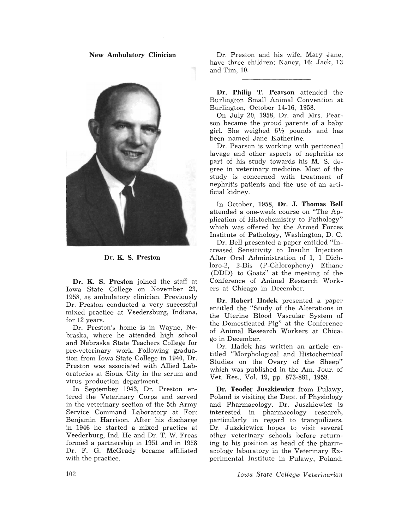New Ambulatory Clinician



Dr. K. S. Preston

Dr. K. S. Preston joined the staff at Iowa State College on November 23, 1958, as ambulatory clinician. Previously Dr. Preston conducted a very successful mixed practice at Veedersburg, Indiana, for 12 years.

Dr. Preston's home is in Wayne, Nebraska, where he attended high school and Nebraska State Teachers College for pre-veterinary work. Following graduation from Iowa State College in 1940, Dr. Preston was associated with Allied Laboratories at Sioux City in the serum and virus production department.

In September 1943, Dr. Preston entered the Veterinary Corps and served in the veterinary section of the 5th Army Service Command Laboratory at Fort Benjamin Harrison. After his discharge *in* 1946 he started a mixed practice at Veederburg, Ind. He and Dr. T. W. Freas formed a partnership in 1951 and in 1958 Dr. F. G. McGrady became affiliated with the practice.

Dr. Preston and his wife, Mary Jane, have three children; Nancy, 16; Jack, 13 and Tim, 10.

Dr. **Philip** T. Pearson attended the Burlington Small Animal Convention at Burlington, October 14-16, 1958.

On July 20, 1958, Dr. and Mrs. Pearson became the proud parents of a baby girl. She weighed  $6\frac{1}{2}$  pounds and has been named Jane Katherine.

Dr. Pearson is working with peritoneal lavage and other aspects of nephritis as part of his study towards his M. S. degree in veterinary medicine. Most of the study is concerned with treatment of nephritis patients and the use of an artificial kidney.

In October, 1958, Dr. J. Thomas Bell attended a one-week course on "The Application of Histochemistry to Pathology" which was offered by the Armed Forces Institute of Pathology, Washington, D. C.

Dr. Bell presented a paper entitled "Increased Sensitivity to Insulin Injection After Oral Administration of 1, 1 Dichloro-2, 2-Bis (P-Chloropheny) Ethane (DDD) to Goats" at the meeting of the Conference of Animal Research Workers at Chicago in December.

Dr. Robert Hadek presented a paper entitled the "Study of the Alterations in the Uterine Blood Vascular System of the Domesticated Pig" at the Conference of Animal Research Workers at Chicago in December.

Dr. Hadek has written an article entitled "Morphological and Histochemical Studies on the Ovary of the Sheep" which was published in the Am. Jour. of Vet. Res., Vol. 19, pp. 873-881, 1958.

Dr. Teoder Juszkiewicz from Pulawy, Poland is visiting the Dept. of Physiology and Pharmacology. Dr. Juszkiewicz is interested in pharmacology research, particularly in regard to tranquilizers. Dr. Juszkiewicz hopes to visit several other veterinary schools before returning to his position as head of the pharmacology laboratory in the Veterinary Experimental Institute in Pulawy, Poland.

*Iowa State College, Veterinarian*